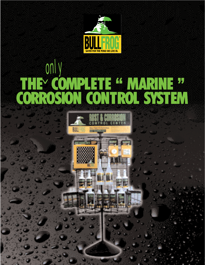

### THE COMPLETE " MARINE " CORROSION CONTROL SYSTEM *only*  $\vee$

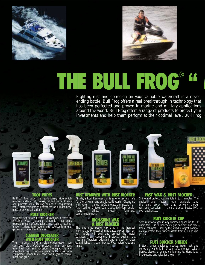



# E BULL FROG

Fighting rust and corrosion on your valuable watercraft is a neverending battle. Bull Frog offers a real breakthrough in technology that has been perfected and proven in marine and military applications around the world. Bull Frog offers a range of products to protect your investments and help them perform at their optimal level. Bull Frog



### TOOL WIPES

Bullfrog® Tool Wipe is a revolutionary wipe which removes surface rust, grease, oil and grime. Cleans and protects while leaving behind a long lasting VpCI™ protective barrier. Perfect for tools, machinery, parts or any metal surface.

### RUST BLOCKER

Prevents rust before it starts. Sprayed on, it forms an invisible "VpCI Molecular Umbrella" that seals exposed metal surfaces agianst rust such as latches, hinges, trailers, farm equipment, outdoor furniture, garden equipment and fences.

### CLEANER DEGREASER WITH RUST BLOCKER

The hardest working cleaner/degreaser you can get, plus VpCIs protect metal surfaces from flash rust and corrosion. Biodegradable and phosphate free . . . engine, parts, motorcycles, farm equipment, power tools, hand tools, garden equipment and grills.

#### RUST REMOVER WITH RUST BLOCKER

Finally, a Rust Remover that is safe to use and safe for the environment and it really works! Cleans up with water . . . plus, VpCIs protect the metals from flash rusting . . . tools, cars, trucks, RVs, farm equipment, bikes, metal furniture, garden equipment.

### HIGH-SHINE WAX & RUST BLOCKER

The one step paste wax that is the hardest working and brightest shining paste wax on the market. VpCIs will seal and protect the metal surfaces from corrosion. Protects against UV rays and fiberglass oxidation and is great for clear coat finishes . . . cars, trucks, RVs, motorcycles and boats.

### FAST WAX & RUST BLOCKER

Shine and protect your vehicle in just minutes. The easiest and fastest wax available and the only spray wax that actively blocks rust and corrosion . . . cars, trucks, boats, RVs, even appliances.

### RUST BLOCKER CUP

Stop rust for a year in any enclosed space up to 11 cubic feet. Use in tool chests, gun cabinets and electronic cabinets. Used by the world's largest companies to protect their critical assets from rust and corrosion.

### RUST BLOCKER SHIELDS

Protect larger enclosed spaces from rust and corrosion. Hang it in a gun safe, storage locker, trunks, closets or engine compartments. Hang it up in a second and relax for a year.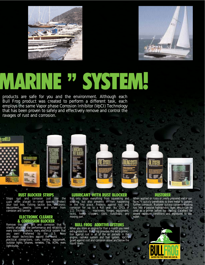



# MARINE " SYSTEM!

products are safe for you and the environment. Although each Bull Frog product was created to perform a different task, each employs the same Vapor phase Corrosion Inhibitor (VpCI) Technology that has been proven to safely and effectively remove and control the ravages of rust and corrosion.



### RUST BLOCKER STRIPS

Stops rust and corrosion just like the cups when placed in small spaces. Protect your tool box, fishing tackle box, electronic equipment, jewelry, coins and silver from corrosion and tarnish.

### ELECTRONIC CLEANER & CORROSION BLOCKER

Remove the dirt, grit and corrosion that is silently attacking the performance and reliability of every electronic device, every electrical system that you own! Preferred by the U.S. Navy and repair technicians around the world . . . electrical connections, cars, trailers, equipment, outdoor lights, phones, remotes, TVs, VCRs, even light bulbs.

### LUBRICANT WITH RUST BLOCKER

Not only stops everything from squeaking and sticking, but also prevents it from happening in the first place. Protects against rust and corrosion for up to a full year. No CFCs or 111 Trichlor . . . machinery, hinges, equipment, locks, hedge clippers, tools, nuts/bolts, any moving part.

### BULL FROG ADDITIVE SYSTEMS

When you store an engine for than a month you need extra protection. Bull Frog provides the extra protection against rust in all of the air pockets in the engine, radiator system and fuel system. VpCI's guard against rust and corrosion above and below the liquid levels.

#### RUSTORER

When applied on rusty or poorly prepared metal surfaces, it quickly penetrates to bare metal to prevent further corrosion. Rustorer quickly converts existing rust into a passive hydrophobic layer, which can be used as a primer before top coating. Excellent for severe exposure conditions and exposures to seawater.